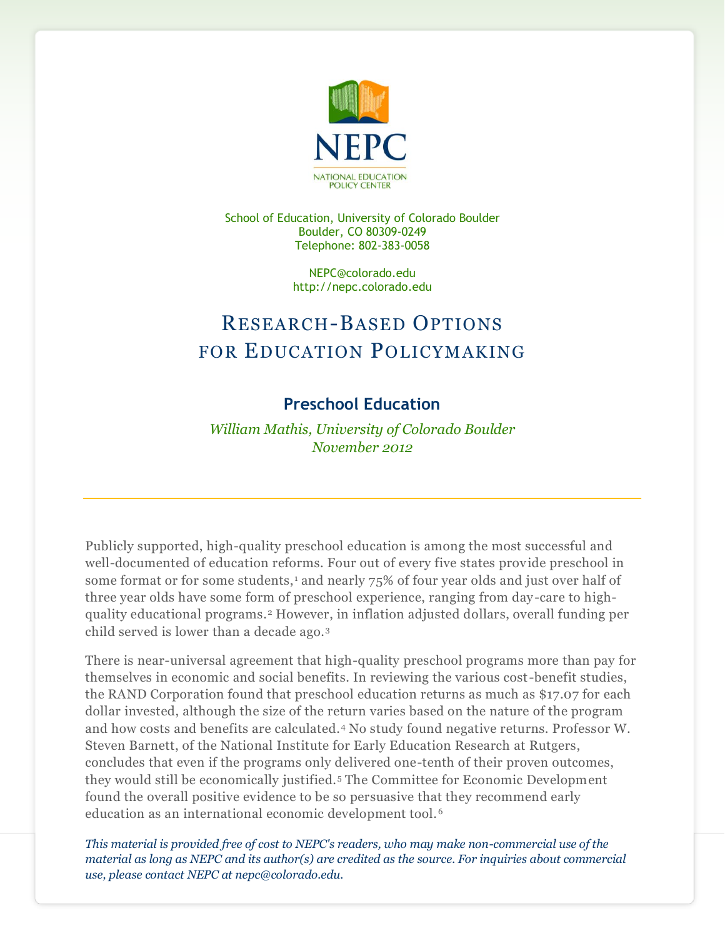

School of Education, University of Colorado Boulder Boulder, CO 80309-0249 Telephone: 802-383-0058

> NEPC@colorado.edu http://nepc.colorado.edu

## RESEARCH-BASED OPTIONS FOR EDUCATION POLICYMAKING

## **Preschool Education**

*William Mathis, University of Colorado Boulder November 2012*

Publicly supported, high-quality preschool education is among the most successful and well-documented of education reforms. Four out of every five states provide preschool in some format or for some students,<sup>1</sup> and nearly 75% of four year olds and just over half of three year olds have some form of preschool experience, ranging from day-care to highquality educational programs.<sup>2</sup> However, in inflation adjusted dollars, overall funding per child served is lower than a decade ago.<sup>3</sup>

There is near-universal agreement that high-quality preschool programs more than pay for themselves in economic and social benefits. In reviewing the various cost-benefit studies, the RAND Corporation found that preschool education returns as much as \$17.07 for each dollar invested, although the size of the return varies based on the nature of the program and how costs and benefits are calculated.<sup>4</sup> No study found negative returns. Professor W. Steven Barnett, of the National Institute for Early Education Research at Rutgers, concludes that even if the programs only delivered one-tenth of their proven outcomes, they would still be economically justified. <sup>5</sup> The Committee for Economic Development found the overall positive evidence to be so persuasive that they recommend early education as an international economic development tool. <sup>6</sup>

*This material is provided free of cost to NEPC's readers, who may make non-commercial use of the material as long as NEPC and its author(s) are credited as the source. For inquiries about commercial use, please contact NEPC at nepc@colorado.edu.*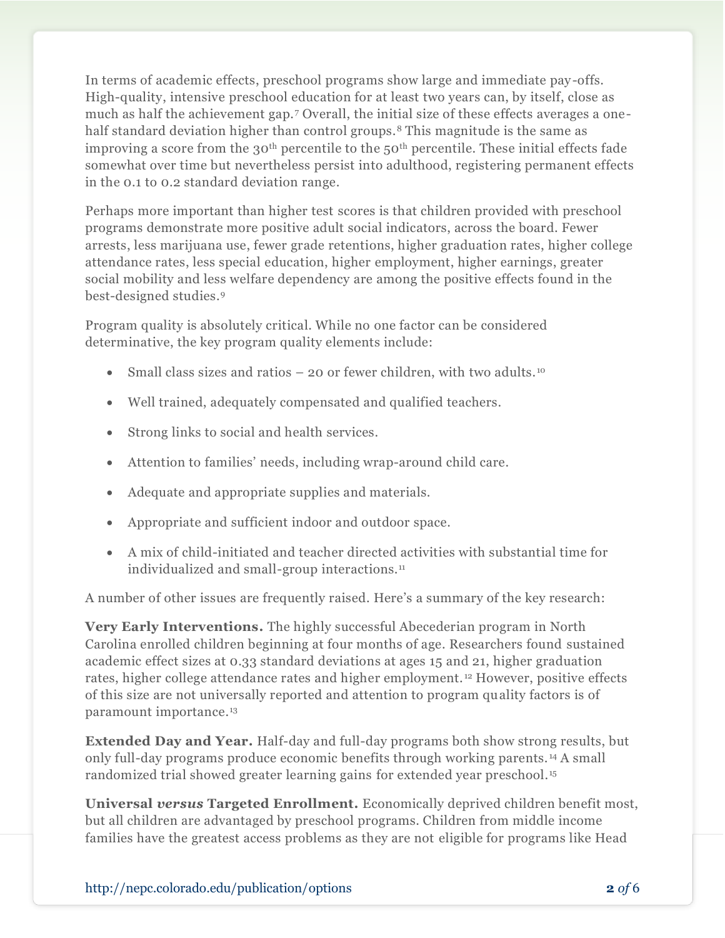In terms of academic effects, preschool programs show large and immediate pay-offs. High-quality, intensive preschool education for at least two years can, by itself, close as much as half the achievement gap.<sup>7</sup> Overall, the initial size of these effects averages a onehalf standard deviation higher than control groups.<sup>8</sup> This magnitude is the same as improving a score from the  $30<sup>th</sup>$  percentile to the  $50<sup>th</sup>$  percentile. These initial effects fade somewhat over time but nevertheless persist into adulthood, registering permanent effects in the 0.1 to 0.2 standard deviation range.

Perhaps more important than higher test scores is that children provided with preschool programs demonstrate more positive adult social indicators, across the board. Fewer arrests, less marijuana use, fewer grade retentions, higher graduation rates, higher college attendance rates, less special education, higher employment, higher earnings, greater social mobility and less welfare dependency are among the positive effects found in the best-designed studies.<sup>9</sup>

Program quality is absolutely critical. While no one factor can be considered determinative, the key program quality elements include:

- Small class sizes and ratios 20 or fewer children, with two adults.<sup>10</sup>
- Well trained, adequately compensated and qualified teachers.
- Strong links to social and health services.
- Attention to families' needs, including wrap-around child care.
- Adequate and appropriate supplies and materials.
- Appropriate and sufficient indoor and outdoor space.
- A mix of child-initiated and teacher directed activities with substantial time for individualized and small-group interactions.<sup>11</sup>

A number of other issues are frequently raised. Here's a summary of the key research:

**Very Early Interventions.** The highly successful Abecederian program in North Carolina enrolled children beginning at four months of age. Researchers found sustained academic effect sizes at 0.33 standard deviations at ages 15 and 21, higher graduation rates, higher college attendance rates and higher employment. <sup>12</sup> However, positive effects of this size are not universally reported and attention to program quality factors is of paramount importance.<sup>13</sup>

**Extended Day and Year.** Half-day and full-day programs both show strong results, but only full-day programs produce economic benefits through working parents. <sup>14</sup> A small randomized trial showed greater learning gains for extended year preschool.<sup>15</sup>

**Universal** *versus* **Targeted Enrollment.** Economically deprived children benefit most, but all children are advantaged by preschool programs. Children from middle income families have the greatest access problems as they are not eligible for programs like Head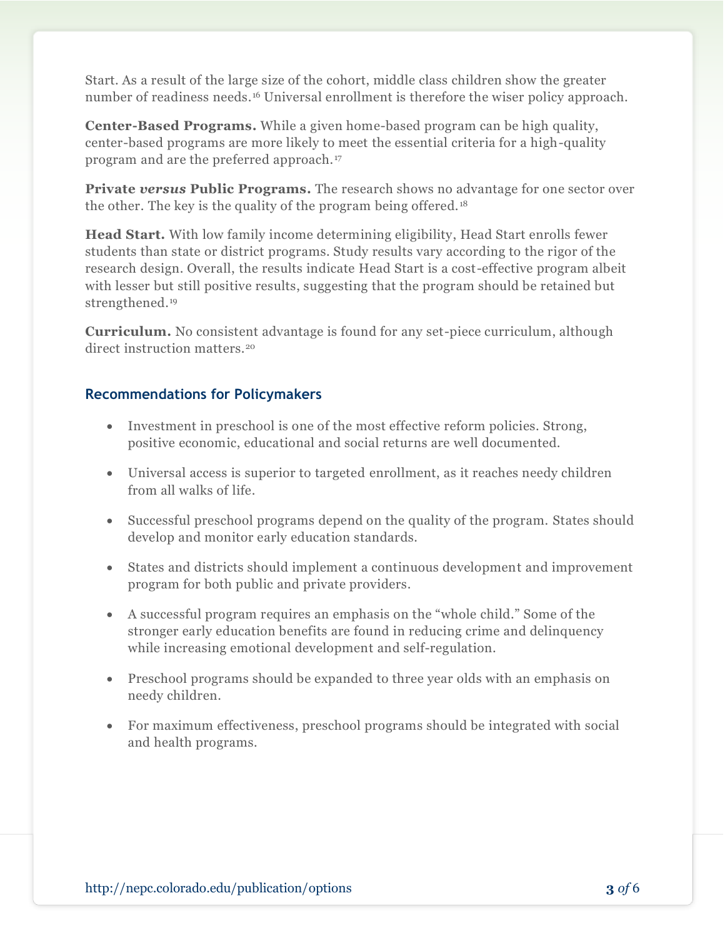Start. As a result of the large size of the cohort, middle class children show the greater number of readiness needs.<sup>16</sup> Universal enrollment is therefore the wiser policy approach.

**Center-Based Programs.** While a given home-based program can be high quality, center-based programs are more likely to meet the essential criteria for a high-quality program and are the preferred approach. <sup>17</sup>

**Private** *versus* **Public Programs.** The research shows no advantage for one sector over the other. The key is the quality of the program being offered. <sup>18</sup>

**Head Start.** With low family income determining eligibility, Head Start enrolls fewer students than state or district programs. Study results vary according to the rigor of the research design. Overall, the results indicate Head Start is a cost-effective program albeit with lesser but still positive results, suggesting that the program should be retained but strengthened.<sup>19</sup>

**Curriculum.** No consistent advantage is found for any set-piece curriculum, although direct instruction matters.<sup>20</sup>

## **Recommendations for Policymakers**

- Investment in preschool is one of the most effective reform policies. Strong, positive economic, educational and social returns are well documented.
- Universal access is superior to targeted enrollment, as it reaches needy children from all walks of life.
- Successful preschool programs depend on the quality of the program. States should develop and monitor early education standards.
- States and districts should implement a continuous development and improvement program for both public and private providers.
- A successful program requires an emphasis on the "whole child." Some of the stronger early education benefits are found in reducing crime and delinquency while increasing emotional development and self-regulation.
- Preschool programs should be expanded to three year olds with an emphasis on needy children.
- For maximum effectiveness, preschool programs should be integrated with social and health programs.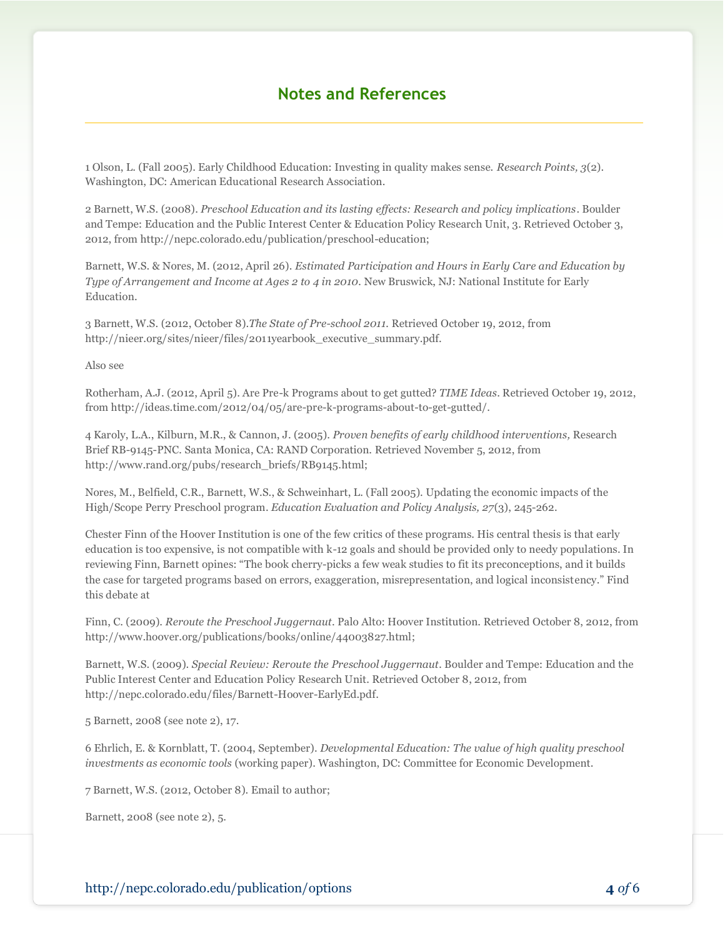## **Notes and References**

1 Olson, L. (Fall 2005). Early Childhood Education: Investing in quality makes sense. *Research Points, 3*(2). Washington, DC: American Educational Research Association.

2 Barnett, W.S. (2008). *Preschool Education and its lasting effects: Research and policy implications*. Boulder and Tempe: Education and the Public Interest Center & Education Policy Research Unit, 3. Retrieved October 3, 2012, from http://nepc.colorado.edu/publication/preschool-education;

Barnett, W.S. & Nores, M. (2012, April 26). *Estimated Participation and Hours in Early Care and Education by Type of Arrangement and Income at Ages 2 to 4 in 2010.* New Bruswick, NJ: National Institute for Early Education.

3 Barnett, W.S. (2012, October 8).*The State of Pre-school 2011.* Retrieved October 19, 2012, from http://nieer.org/sites/nieer/files/2011yearbook\_executive\_summary.pdf.

Also see

Rotherham, A.J. (2012, April 5). Are Pre-k Programs about to get gutted? *TIME Ideas*. Retrieved October 19, 2012, from http://ideas.time.com/2012/04/05/are-pre-k-programs-about-to-get-gutted/.

4 Karoly, L.A., Kilburn, M.R., & Cannon, J. (2005). *Proven benefits of early childhood interventions,* Research Brief RB-9145-PNC*.* Santa Monica, CA: RAND Corporation. Retrieved November 5, 2012, from http://www.rand.org/pubs/research\_briefs/RB9145.html;

Nores, M., Belfield, C.R., Barnett, W.S., & Schweinhart, L. (Fall 2005). Updating the economic impacts of the High/Scope Perry Preschool program. *Education Evaluation and Policy Analysis, 27*(3), 245-262.

Chester Finn of the Hoover Institution is one of the few critics of these programs. His central thesis is that early education is too expensive, is not compatible with k-12 goals and should be provided only to needy populations. In reviewing Finn, Barnett opines: "The book cherry-picks a few weak studies to fit its preconceptions, and it builds the case for targeted programs based on errors, exaggeration, misrepresentation, and logical inconsistency." Find this debate at

Finn, C. (2009). *Reroute the Preschool Juggernaut*. Palo Alto: Hoover Institution. Retrieved October 8, 2012, from http://www.hoover.org/publications/books/online/44003827.html;

Barnett, W.S. (2009). *Special Review: Reroute the Preschool Juggernaut.* Boulder and Tempe: Education and the Public Interest Center and Education Policy Research Unit. Retrieved October 8, 2012, from http://nepc.colorado.edu/files/Barnett-Hoover-EarlyEd.pdf.

5 Barnett, 2008 (see note 2), 17.

6 Ehrlich, E. & Kornblatt, T. (2004, September). *Developmental Education: The value of high quality preschool investments as economic tools* (working paper). Washington, DC: Committee for Economic Development.

7 Barnett, W.S. (2012, October 8). Email to author;

Barnett, 2008 (see note 2), 5.

http://nepc.colorado.edu/publication/options **4** *of* 6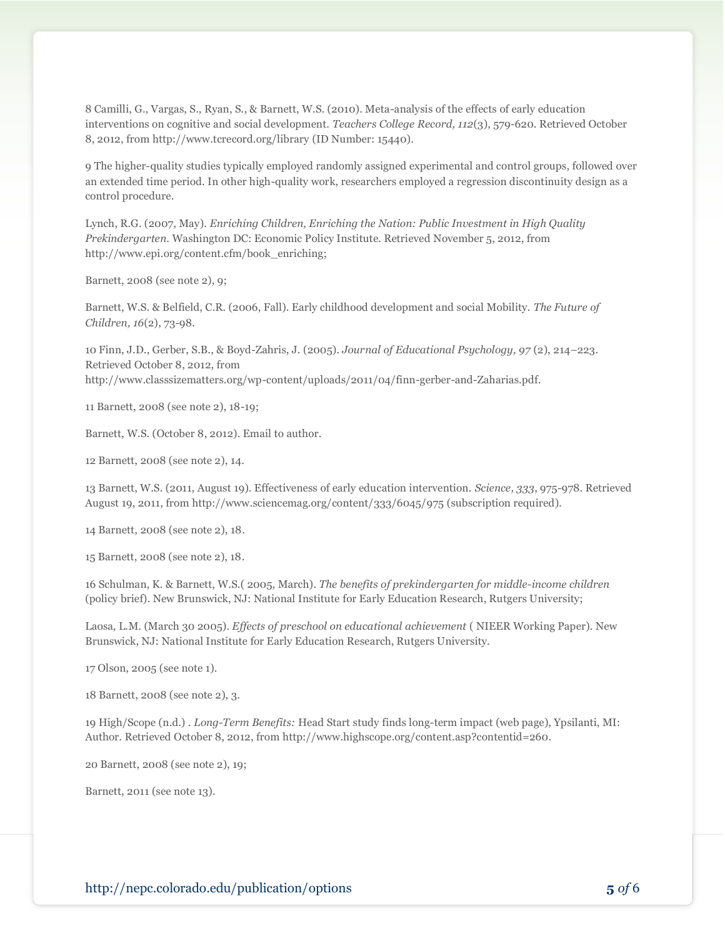8 Camilli, G., Vargas, S., Ryan, S., & Barnett, W.S. (2010). Meta-analysis of the effects of early education interventions on cognitive and social development. *Teachers College Record, 112*(3), 579-620. Retrieved October 8, 2012, from http://www.tcrecord.org/library (ID Number: 15440).

9 The higher-quality studies typically employed randomly assigned experimental and control groups, followed over an extended time period. In other high-quality work, researchers employed a regression discontinuity design as a control procedure.

Lynch, R.G. (2007, May). *Enriching Children, Enriching the Nation: Public Investment in High Quality Prekindergarten*. Washington DC: Economic Policy Institute. Retrieved November 5, 2012, from http://www.epi.org/content.cfm/book\_enriching;

Barnett, 2008 (see note 2), 9;

Barnett, W.S. & Belfield, C.R. (2006, Fall). Early childhood development and social Mobility. *The Future of Children, 16*(2), 73-98.

10 Finn, J.D., Gerber, S.B., & Boyd-Zahris, J. (2005). *Journal of Educational Psychology, 97* (2), 214–223. Retrieved October 8, 2012, from http://www.classsizematters.org/wp-content/uploads/2011/04/finn-gerber-and-Zaharias.pdf.

11 Barnett, 2008 (see note 2), 18-19;

Barnett, W.S. (October 8, 2012). Email to author.

12 Barnett, 2008 (see note 2), 14.

13 Barnett, W.S. (2011, August 19). Effectiveness of early education intervention. *Science, 333*, 975-978. Retrieved August 19, 2011, from http://www.sciencemag.org/content/333/6045/975 (subscription required).

14 Barnett, 2008 (see note 2), 18.

15 Barnett, 2008 (see note 2), 18.

16 Schulman, K. & Barnett, W.S.( 2005, March). *The benefits of prekindergarten for middle-income children* (policy brief). New Brunswick, NJ: National Institute for Early Education Research, Rutgers University;

Laosa, L.M. (March 30 2005). *Effects of preschool on educational achievement* ( NIEER Working Paper). New Brunswick, NJ: National Institute for Early Education Research, Rutgers University.

17 Olson, 2005 (see note 1).

18 Barnett, 2008 (see note 2), 3.

19 High/Scope (n.d.) . *Long-Term Benefits:* Head Start study finds long-term impact (web page), Ypsilanti, MI: Author. Retrieved October 8, 2012, from http://www.highscope.org/content.asp?contentid=260.

20 Barnett, 2008 (see note 2), 19;

Barnett, 2011 (see note 13).